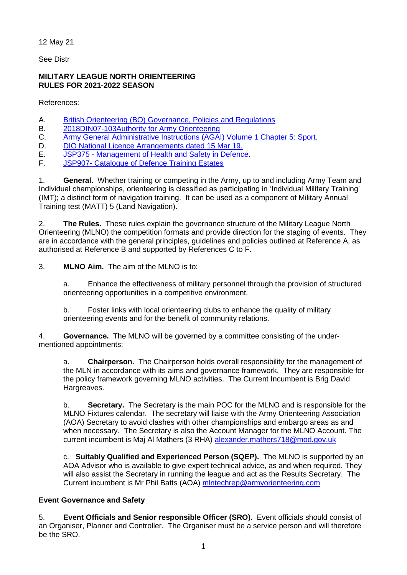12 May 21

See Distr

## **MILITARY LEAGUE NORTH ORIENTEERING RULES FOR 2021-2022 SEASON**

References:

- A. [British Orienteering \(BO\) Governance, Policies and Regulations](http://www.britishorienteering.org.uk/page/governance_documents)
- B. [2018DIN07-103Authority for Army Orienteering](http://www.baoc.info/sites/default/files/2012/10/29/2018DIN07-103.pdf?_ga=2.234260125.248626165.1553765558-1329521235.1553765558)
- C. [Army General Administrative Instructions \(AGAI\) Volume 1 Chapter 5: Sport.](http://defenceintranet.diif.r.mil.uk/libraries/corporate/Army/Publications/AGAI_005.pdf)
- D. [DIO National Licence Arrangements](http://www.baoc.info/sites/default/files/2017/07/08/20190315-AOA-DIO_Civ_Access_Licence-01Feb19-31Jan22.pdf?_ga=2.66423085.248626165.1553765558-1329521235.1553765558) dated 15 Mar 19.
- E. JSP375 [Management of Health and Safety in Defence.](http://defenceintranet.diif.r.mil.uk/Reference/DINsJSPs/Pages/JSP375.aspx)
- F. JSP907- [Catalogue of Defence Training Estates](http://defenceintranet.diif.r.mil.uk/Organisations/Orgs/DIO/Organisations/DTE/Home/Pages/JSP907.aspx)

1. **General.** Whether training or competing in the Army, up to and including Army Team and Individual championships, orienteering is classified as participating in 'Individual Military Training' (IMT); a distinct form of navigation training. It can be used as a component of Military Annual Training test (MATT) 5 (Land Navigation).

2. **The Rules.** These rules explain the governance structure of the Military League North Orienteering (MLNO) the competition formats and provide direction for the staging of events. They are in accordance with the general principles, guidelines and policies outlined at Reference A, as authorised at Reference B and supported by References C to F.

3. **MLNO Aim.** The aim of the MLNO is to:

a. Enhance the effectiveness of military personnel through the provision of structured orienteering opportunities in a competitive environment.

b. Foster links with local orienteering clubs to enhance the quality of military orienteering events and for the benefit of community relations.

4. **Governance.** The MLNO will be governed by a committee consisting of the undermentioned appointments:

a. **Chairperson.** The Chairperson holds overall responsibility for the management of the MLN in accordance with its aims and governance framework. They are responsible for the policy framework governing MLNO activities. The Current Incumbent is Brig David Hargreaves.

b. **Secretary.** The Secretary is the main POC for the MLNO and is responsible for the MLNO Fixtures calendar. The secretary will liaise with the Army Orienteering Association (AOA) Secretary to avoid clashes with other championships and embargo areas as and when necessary. The Secretary is also the Account Manager for the MLNO Account. The current incumbent is Maj Al Mathers (3 RHA) [alexander.mathers718@mod.gov.uk](mailto:alexander.mathers718@mod.gov.uk)

c. **Suitably Qualified and Experienced Person (SQEP).** The MLNO is supported by an AOA Advisor who is available to give expert technical advice, as and when required. They will also assist the Secretary in running the league and act as the Results Secretary. The Current incumbent is Mr Phil Batts (AOA) [mlntechrep@armyorienteering.com](mailto:mlntechrep@armyorienteering.com)

# **Event Governance and Safety**

5. **Event Officials and Senior responsible Officer (SRO).** Event officials should consist of an Organiser, Planner and Controller. The Organiser must be a service person and will therefore be the SRO.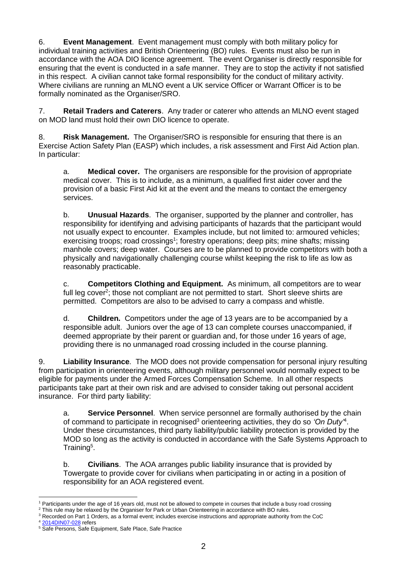6. **Event Management**. Event management must comply with both military policy for individual training activities and British Orienteering (BO) rules. Events must also be run in accordance with the AOA DIO licence agreement. The event Organiser is directly responsible for ensuring that the event is conducted in a safe manner. They are to stop the activity if not satisfied in this respect. A civilian cannot take formal responsibility for the conduct of military activity. Where civilians are running an MLNO event a UK service Officer or Warrant Officer is to be formally nominated as the Organiser/SRO.

7. **Retail Traders and Caterers**. Any trader or caterer who attends an MLNO event staged on MOD land must hold their own DIO licence to operate.

8. **Risk Management.** The Organiser/SRO is responsible for ensuring that there is an Exercise Action Safety Plan (EASP) which includes, a risk assessment and First Aid Action plan. In particular:

a. **Medical cover.** The organisers are responsible for the provision of appropriate medical cover. This is to include, as a minimum, a qualified first aider cover and the provision of a basic First Aid kit at the event and the means to contact the emergency services.

b. **Unusual Hazards**. The organiser, supported by the planner and controller, has responsibility for identifying and advising participants of hazards that the participant would not usually expect to encounter. Examples include, but not limited to: armoured vehicles; exercising troops; road crossings<sup>1</sup>; forestry operations; deep pits; mine shafts; missing manhole covers; deep water. Courses are to be planned to provide competitors with both a physically and navigationally challenging course whilst keeping the risk to life as low as reasonably practicable.

c. **Competitors Clothing and Equipment.** As minimum, all competitors are to wear full leg cover<sup>2</sup>; those not compliant are not permitted to start. Short sleeve shirts are permitted. Competitors are also to be advised to carry a compass and whistle.

d. **Children.** Competitors under the age of 13 years are to be accompanied by a responsible adult. Juniors over the age of 13 can complete courses unaccompanied, if deemed appropriate by their parent or guardian and, for those under 16 years of age, providing there is no unmanaged road crossing included in the course planning.

9. **Liability Insurance**. The MOD does not provide compensation for personal injury resulting from participation in orienteering events, although military personnel would normally expect to be eligible for payments under the Armed Forces Compensation Scheme. In all other respects participants take part at their own risk and are advised to consider taking out personal accident insurance. For third party liability:

a. **Service Personnel**. When service personnel are formally authorised by the chain of command to participate in recognised<sup>3</sup> orienteering activities, they do so 'On Duty<sup>4</sup>. Under these circumstances, third party liability/public liability protection is provided by the MOD so long as the activity is conducted in accordance with the Safe Systems Approach to Training<sup>5</sup>.

b. **Civilians**. The AOA arranges public liability insurance that is provided by Towergate to provide cover for civilians when participating in or acting in a position of responsibility for an AOA registered event.

Participants under the age of 16 years old, must not be allowed to compete in courses that include a busy road crossing

<sup>&</sup>lt;sup>2</sup> This rule may be relaxed by the Organiser for Park or Urban Orienteering in accordance with BO rules.

<sup>&</sup>lt;sup>3</sup> Recorded on Part 1 Orders, as a formal event; includes exercise instructions and appropriate authority from the CoC

<sup>&</sup>lt;sup>4</sup> [2014DIN07-028](http://defenceintranet.diif.r.mil.uk/libraries/corporate/DINStraining/2014/2014DIN07-028.pdf) refers

<sup>&</sup>lt;sup>5</sup> Safe Persons, Safe Equipment, Safe Place, Safe Practice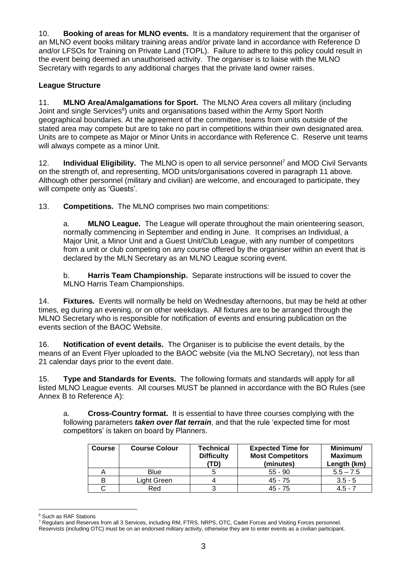10. **Booking of areas for MLNO events.** It is a mandatory requirement that the organiser of an MLNO event books military training areas and/or private land in accordance with Reference D and/or LFSOs for Training on Private Land (TOPL). Failure to adhere to this policy could result in the event being deemed an unauthorised activity. The organiser is to liaise with the MLNO Secretary with regards to any additional charges that the private land owner raises.

## **League Structure**

11. **MLNO Area/Amalgamations for Sport.** The MLNO Area covers all military (including Joint and single Services<sup>6</sup>) units and organisations based within the Army Sport North geographical boundaries. At the agreement of the committee, teams from units outside of the stated area may compete but are to take no part in competitions within their own designated area. Units are to compete as Major or Minor Units in accordance with Reference C. Reserve unit teams will always compete as a minor Unit.

12. **Individual Eligibility.** The MLNO is open to all service personnel<sup>7</sup> and MOD Civil Servants on the strength of, and representing, MOD units/organisations covered in paragraph 11 above. Although other personnel (military and civilian) are welcome, and encouraged to participate, they will compete only as 'Guests'.

13. **Competitions.** The MLNO comprises two main competitions:

a. **MLNO League.** The League will operate throughout the main orienteering season, normally commencing in September and ending in June. It comprises an Individual, a Major Unit, a Minor Unit and a Guest Unit/Club League, with any number of competitors from a unit or club competing on any course offered by the organiser within an event that is declared by the MLN Secretary as an MLNO League scoring event.

b. **Harris Team Championship.** Separate instructions will be issued to cover the MLNO Harris Team Championships.

14. **Fixtures.** Events will normally be held on Wednesday afternoons, but may be held at other times, eg during an evening, or on other weekdays. All fixtures are to be arranged through the MLNO Secretary who is responsible for notification of events and ensuring publication on the events section of the BAOC Website.

16. **Notification of event details.** The Organiser is to publicise the event details, by the means of an Event Flyer uploaded to the BAOC website (via the MLNO Secretary), not less than 21 calendar days prior to the event date.

15. **Type and Standards for Events.** The following formats and standards will apply for all listed MLNO League events. All courses MUST be planned in accordance with the BO Rules (see Annex B to Reference A):

a. **Cross-Country format.** It is essential to have three courses complying with the following parameters *taken over flat terrain*, and that the rule 'expected time for most competitors' is taken on board by Planners.

| <b>Course</b> | <b>Course Colour</b> | Technical<br><b>Difficulty</b><br>'TD) | <b>Expected Time for</b><br><b>Most Competitors</b><br>(minutes) | Minimum/<br><b>Maximum</b><br>Length (km) |
|---------------|----------------------|----------------------------------------|------------------------------------------------------------------|-------------------------------------------|
|               | <b>Blue</b>          |                                        | $55 - 90$                                                        | $5.5 - 7.5$                               |
| в             | ∟ight Green_         |                                        | $45 - 75$                                                        | $3.5 - 5$                                 |
|               | Red                  |                                        | 45 - 75                                                          | $4.5 - 7$                                 |

<sup>6</sup> Such as RAF Stations

<sup>7</sup> Regulars and Reserves from all 3 Services, including RM, FTRS, NRPS, OTC, Cadet Forces and Visiting Forces personnel.

Reservists (including OTC) must be on an endorsed military activity, otherwise they are to enter events as a civilian participant.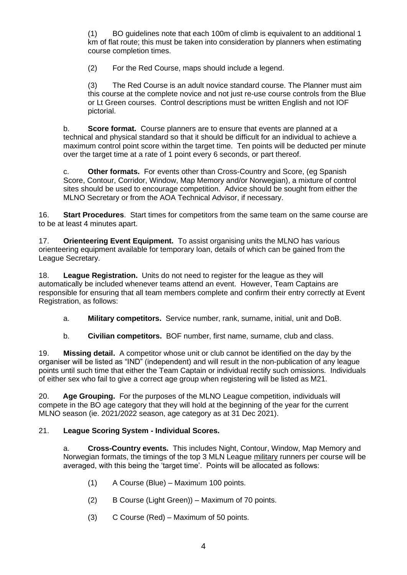(1) BO guidelines note that each 100m of climb is equivalent to an additional 1 km of flat route; this must be taken into consideration by planners when estimating course completion times.

(2) For the Red Course, maps should include a legend.

(3) The Red Course is an adult novice standard course. The Planner must aim this course at the complete novice and not just re-use course controls from the Blue or Lt Green courses. Control descriptions must be written English and not IOF pictorial.

b. **Score format.** Course planners are to ensure that events are planned at a technical and physical standard so that it should be difficult for an individual to achieve a maximum control point score within the target time. Ten points will be deducted per minute over the target time at a rate of 1 point every 6 seconds, or part thereof.

c. **Other formats.** For events other than Cross-Country and Score, (eg Spanish Score, Contour, Corridor, Window, Map Memory and/or Norwegian), a mixture of control sites should be used to encourage competition. Advice should be sought from either the MLNO Secretary or from the AOA Technical Advisor, if necessary.

16. **Start Procedures**. Start times for competitors from the same team on the same course are to be at least 4 minutes apart.

17. **Orienteering Event Equipment.** To assist organising units the MLNO has various orienteering equipment available for temporary loan, details of which can be gained from the League Secretary.

18. **League Registration.** Units do not need to register for the league as they will automatically be included whenever teams attend an event. However, Team Captains are responsible for ensuring that all team members complete and confirm their entry correctly at Event Registration, as follows:

a. **Military competitors.** Service number, rank, surname, initial, unit and DoB.

b. **Civilian competitors.** BOF number, first name, surname, club and class.

19. **Missing detail.** A competitor whose unit or club cannot be identified on the day by the organiser will be listed as "IND" (independent) and will result in the non-publication of any league points until such time that either the Team Captain or individual rectify such omissions. Individuals of either sex who fail to give a correct age group when registering will be listed as M21.

20. **Age Grouping.** For the purposes of the MLNO League competition, individuals will compete in the BO age category that they will hold at the beginning of the year for the current MLNO season (ie. 2021/2022 season, age category as at 31 Dec 2021).

#### 21. **League Scoring System - Individual Scores.**

a. **Cross-Country events.** This includes Night, Contour, Window, Map Memory and Norwegian formats, the timings of the top 3 MLN League military runners per course will be averaged, with this being the 'target time'. Points will be allocated as follows:

- (1) A Course (Blue) Maximum 100 points.
- (2) B Course (Light Green)) Maximum of 70 points.
- (3) C Course (Red) Maximum of 50 points.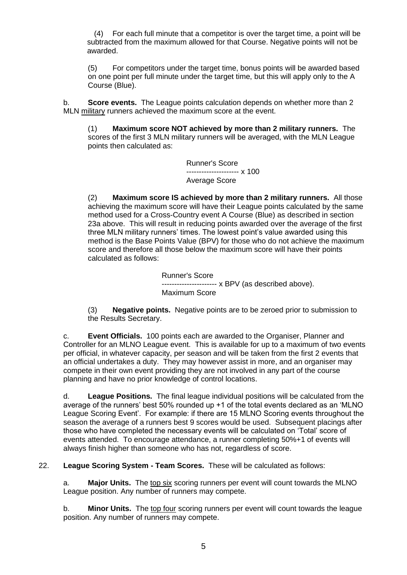(4) For each full minute that a competitor is over the target time, a point will be subtracted from the maximum allowed for that Course. Negative points will not be awarded.

(5) For competitors under the target time, bonus points will be awarded based on one point per full minute under the target time, but this will apply only to the A Course (Blue).

b. **Score events.** The League points calculation depends on whether more than 2 MLN military runners achieved the maximum score at the event.

(1) **Maximum score NOT achieved by more than 2 military runners.** The scores of the first 3 MLN military runners will be averaged, with the MLN League points then calculated as:

> Runner's Score --------------------- x 100 Average Score

(2) **Maximum score IS achieved by more than 2 military runners.** All those achieving the maximum score will have their League points calculated by the same method used for a Cross-Country event A Course (Blue) as described in section 23a above. This will result in reducing points awarded over the average of the first three MLN military runners' times. The lowest point's value awarded using this method is the Base Points Value (BPV) for those who do not achieve the maximum score and therefore all those below the maximum score will have their points calculated as follows:

> Runner's Score ---------------------- x BPV (as described above). Maximum Score

(3) **Negative points.** Negative points are to be zeroed prior to submission to the Results Secretary.

c. **Event Officials.** 100 points each are awarded to the Organiser, Planner and Controller for an MLNO League event. This is available for up to a maximum of two events per official, in whatever capacity, per season and will be taken from the first 2 events that an official undertakes a duty. They may however assist in more, and an organiser may compete in their own event providing they are not involved in any part of the course planning and have no prior knowledge of control locations.

d. **League Positions.** The final league individual positions will be calculated from the average of the runners' best 50% rounded up +1 of the total events declared as an 'MLNO League Scoring Event'. For example: if there are 15 MLNO Scoring events throughout the season the average of a runners best 9 scores would be used. Subsequent placings after those who have completed the necessary events will be calculated on 'Total' score of events attended. To encourage attendance, a runner completing 50%+1 of events will always finish higher than someone who has not, regardless of score.

22. **League Scoring System - Team Scores.** These will be calculated as follows:

a. **Major Units.** The top six scoring runners per event will count towards the MLNO League position. Any number of runners may compete.

b. **Minor Units.** The top four scoring runners per event will count towards the league position. Any number of runners may compete.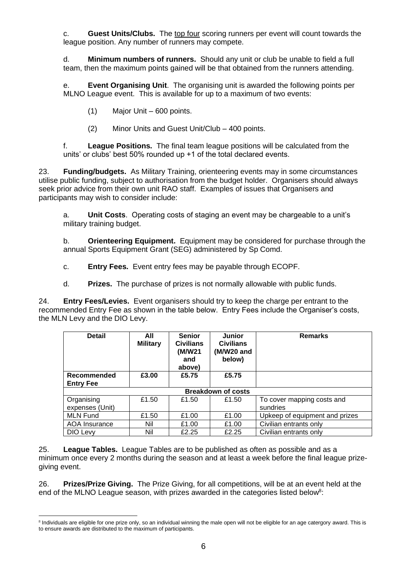c. **Guest Units/Clubs.** The top four scoring runners per event will count towards the league position. Any number of runners may compete.

d. **Minimum numbers of runners.** Should any unit or club be unable to field a full team, then the maximum points gained will be that obtained from the runners attending.

e. **Event Organising Unit**. The organising unit is awarded the following points per MLNO League event. This is available for up to a maximum of two events:

(1) Major Unit – 600 points.

(2) Minor Units and Guest Unit/Club – 400 points.

f. **League Positions.** The final team league positions will be calculated from the units' or clubs' best 50% rounded up +1 of the total declared events.

23. **Funding/budgets.** As Military Training, orienteering events may in some circumstances utilise public funding, subject to authorisation from the budget holder. Organisers should always seek prior advice from their own unit RAO staff. Examples of issues that Organisers and participants may wish to consider include:

a. **Unit Costs**. Operating costs of staging an event may be chargeable to a unit's military training budget.

b. **Orienteering Equipment.** Equipment may be considered for purchase through the annual Sports Equipment Grant (SEG) administered by Sp Comd.

c. **Entry Fees.** Event entry fees may be payable through ECOPF.

d. **Prizes.** The purchase of prizes is not normally allowable with public funds.

24. **Entry Fees/Levies.** Event organisers should try to keep the charge per entrant to the recommended Entry Fee as shown in the table below. Entry Fees include the Organiser's costs, the MLN Levy and the DIO Levy.

| <b>Detail</b>                   | All<br><b>Military</b> | <b>Senior</b><br><b>Civilians</b><br>(M/W21<br>and<br>above) | <b>Junior</b><br><b>Civilians</b><br>(M/W20 and<br>below) | <b>Remarks</b>                         |  |  |
|---------------------------------|------------------------|--------------------------------------------------------------|-----------------------------------------------------------|----------------------------------------|--|--|
| Recommended<br><b>Entry Fee</b> | £3.00                  | £5.75                                                        | £5.75                                                     |                                        |  |  |
| <b>Breakdown of costs</b>       |                        |                                                              |                                                           |                                        |  |  |
| Organising<br>expenses (Unit)   | £1.50                  | £1.50                                                        | £1.50                                                     | To cover mapping costs and<br>sundries |  |  |
| <b>MLN Fund</b>                 | £1.50                  | £1.00                                                        | £1.00                                                     | Upkeep of equipment and prizes         |  |  |
| AOA Insurance                   | Nil                    | £1.00                                                        | £1.00                                                     | Civilian entrants only                 |  |  |
| DIO Levy                        | Nil                    | £2.25                                                        | £2.25                                                     | Civilian entrants only                 |  |  |

25. **League Tables.** League Tables are to be published as often as possible and as a minimum once every 2 months during the season and at least a week before the final league prizegiving event.

26. **Prizes/Prize Giving.** The Prize Giving, for all competitions, will be at an event held at the end of the MLNO League season, with prizes awarded in the categories listed below<sup>8</sup>:

<sup>&</sup>lt;sup>8</sup> Individuals are eligible for one prize only, so an individual winning the male open will not be eligible for an age catergory award. This is to ensure awards are distributed to the maximum of participants.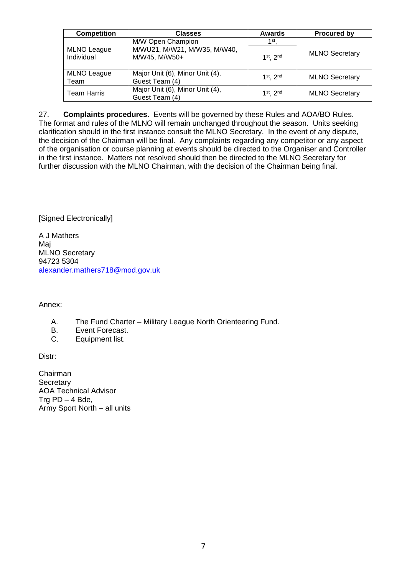| <b>Competition</b>               | <b>Classes</b>                                    | <b>Awards</b>   | <b>Procured by</b>    |
|----------------------------------|---------------------------------------------------|-----------------|-----------------------|
|                                  | M/W Open Champion                                 | 1 <sup>st</sup> |                       |
| <b>MLNO League</b><br>Individual | M/WU21, M/W21, M/W35, M/W40,<br>M/W45, M/W50+     | 1st 2nd         | <b>MLNO Secretary</b> |
| <b>MLNO League</b><br>Team       | Major Unit (6), Minor Unit (4),<br>Guest Team (4) | $1st$ , 2nd     | <b>MLNO Secretary</b> |
| <b>Team Harris</b>               | Major Unit (6), Minor Unit (4),<br>Guest Team (4) | $1st$ , 2nd     | <b>MLNO Secretary</b> |

27. **Complaints procedures.** Events will be governed by these Rules and AOA/BO Rules. The format and rules of the MLNO will remain unchanged throughout the season. Units seeking clarification should in the first instance consult the MLNO Secretary. In the event of any dispute, the decision of the Chairman will be final. Any complaints regarding any competitor or any aspect of the organisation or course planning at events should be directed to the Organiser and Controller in the first instance. Matters not resolved should then be directed to the MLNO Secretary for further discussion with the MLNO Chairman, with the decision of the Chairman being final.

[Signed Electronically]

A J Mathers Maj MLNO Secretary 94723 5304 [alexander.mathers718@mod.gov.uk](mailto:alexander.mathers718@mod.gov.uk)

Annex:

- A. The Fund Charter Military League North Orienteering Fund.
- B. Event Forecast.
- C. Equipment list.

Distr:

Chairman **Secretary** AOA Technical Advisor Trg  $PD - 4$  Bde, Army Sport North – all units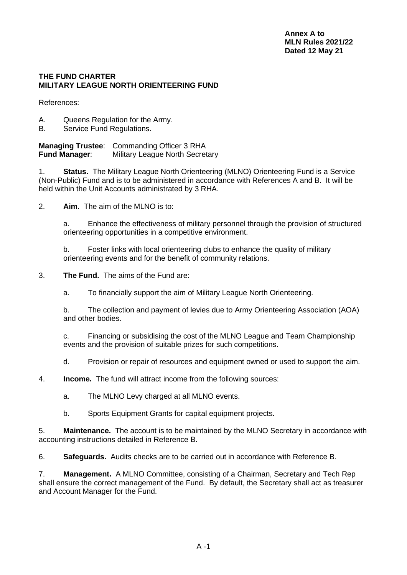#### **THE FUND CHARTER MILITARY LEAGUE NORTH ORIENTEERING FUND**

References:

- A. Queens Regulation for the Army.
- B. Service Fund Regulations.

**Managing Trustee**: Commanding Officer 3 RHA **Fund Manager:** Military League North Secretary

1. **Status.** The Military League North Orienteering (MLNO) Orienteering Fund is a Service (Non-Public) Fund and is to be administered in accordance with References A and B. It will be held within the Unit Accounts administrated by 3 RHA.

2. **Aim**.The aim of the MLNO is to:

a. Enhance the effectiveness of military personnel through the provision of structured orienteering opportunities in a competitive environment.

b. Foster links with local orienteering clubs to enhance the quality of military orienteering events and for the benefit of community relations.

3. **The Fund.** The aims of the Fund are:

a. To financially support the aim of Military League North Orienteering.

b. The collection and payment of levies due to Army Orienteering Association (AOA) and other bodies.

c. Financing or subsidising the cost of the MLNO League and Team Championship events and the provision of suitable prizes for such competitions.

d. Provision or repair of resources and equipment owned or used to support the aim.

4. **Income.** The fund will attract income from the following sources:

- a. The MLNO Levy charged at all MLNO events.
- b. Sports Equipment Grants for capital equipment projects.

5. **Maintenance.** The account is to be maintained by the MLNO Secretary in accordance with accounting instructions detailed in Reference B.

6. **Safeguards.** Audits checks are to be carried out in accordance with Reference B.

7. **Management.** A MLNO Committee, consisting of a Chairman, Secretary and Tech Rep shall ensure the correct management of the Fund. By default, the Secretary shall act as treasurer and Account Manager for the Fund.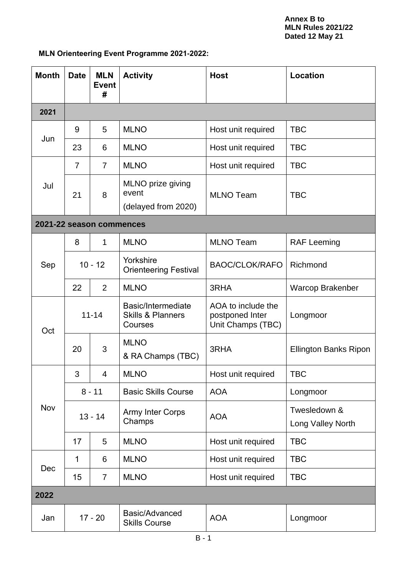# **MLN Orienteering Event Programme 2021-2022:**

| <b>Month</b>             | <b>Date</b>    | <b>MLN</b><br><b>Event</b><br># | <b>Activity</b>                                               | <b>Host</b>                                                | Location                          |
|--------------------------|----------------|---------------------------------|---------------------------------------------------------------|------------------------------------------------------------|-----------------------------------|
| 2021                     |                |                                 |                                                               |                                                            |                                   |
| Jun                      | 9              | 5                               | <b>MLNO</b>                                                   | Host unit required                                         | <b>TBC</b>                        |
|                          | 23             | 6                               | <b>MLNO</b>                                                   | Host unit required                                         | <b>TBC</b>                        |
| Jul                      | $\overline{7}$ | $\overline{7}$                  | <b>MLNO</b>                                                   | Host unit required                                         | <b>TBC</b>                        |
|                          | 21             | 8                               | MLNO prize giving<br>event<br>(delayed from 2020)             | <b>MLNO Team</b>                                           | <b>TBC</b>                        |
| 2021-22 season commences |                |                                 |                                                               |                                                            |                                   |
|                          | 8              | 1                               | <b>MLNO</b>                                                   | <b>MLNO Team</b>                                           | <b>RAF Leeming</b>                |
| Sep                      | $10 - 12$      |                                 | Yorkshire<br><b>Orienteering Festival</b>                     | <b>BAOC/CLOK/RAFO</b>                                      | Richmond                          |
|                          | 22             | $\overline{2}$                  | <b>MLNO</b>                                                   | 3RHA                                                       | Warcop Brakenber                  |
| Oct                      | $11 - 14$      |                                 | Basic/Intermediate<br><b>Skills &amp; Planners</b><br>Courses | AOA to include the<br>postponed Inter<br>Unit Champs (TBC) | Longmoor                          |
|                          | 20             | 3                               | <b>MLNO</b><br>& RA Champs (TBC)                              | 3RHA                                                       | <b>Ellington Banks Ripon</b>      |
| Nov                      | 3              | 4                               | <b>MLNO</b>                                                   | Host unit required                                         | <b>TBC</b>                        |
|                          | $8 - 11$       |                                 | <b>Basic Skills Course</b>                                    | <b>AOA</b>                                                 | Longmoor                          |
|                          | $13 - 14$      |                                 | <b>Army Inter Corps</b><br>Champs                             | <b>AOA</b>                                                 | Twesledown &<br>Long Valley North |
|                          | 17             | 5                               | <b>MLNO</b>                                                   | Host unit required                                         | <b>TBC</b>                        |
| Dec                      | 1              | 6                               | <b>MLNO</b>                                                   | Host unit required                                         | <b>TBC</b>                        |
|                          | 15             | 7                               | <b>MLNO</b>                                                   | Host unit required                                         | <b>TBC</b>                        |
| 2022                     |                |                                 |                                                               |                                                            |                                   |
| Jan                      | $17 - 20$      |                                 | Basic/Advanced<br><b>Skills Course</b>                        | <b>AOA</b>                                                 | Longmoor                          |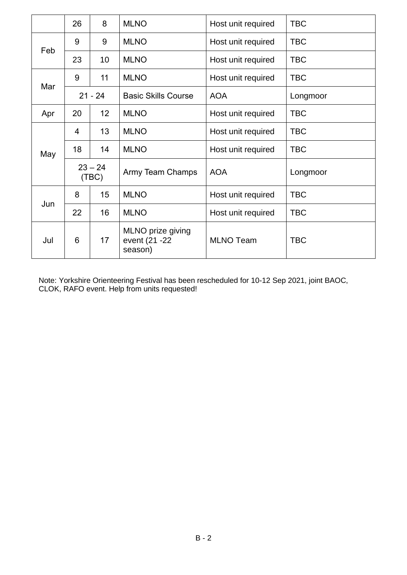|     | 26                    | 8  | <b>MLNO</b>                                    | Host unit required | <b>TBC</b> |
|-----|-----------------------|----|------------------------------------------------|--------------------|------------|
|     | 9                     | 9  | <b>MLNO</b>                                    | Host unit required | <b>TBC</b> |
| Feb | 23                    | 10 | <b>MLNO</b>                                    | Host unit required | <b>TBC</b> |
|     | 9                     | 11 | <b>MLNO</b>                                    | Host unit required | <b>TBC</b> |
| Mar | $21 - 24$             |    | <b>Basic Skills Course</b>                     | <b>AOA</b>         | Longmoor   |
| Apr | 12 <sub>2</sub><br>20 |    | <b>MLNO</b>                                    | Host unit required | <b>TBC</b> |
|     | 4                     | 13 | <b>MLNO</b>                                    | Host unit required | <b>TBC</b> |
| May | 18                    | 14 | <b>MLNO</b>                                    | Host unit required | <b>TBC</b> |
|     | $23 - 24$<br>(TBC)    |    | <b>Army Team Champs</b>                        | <b>AOA</b>         | Longmoor   |
|     | 8                     | 15 | <b>MLNO</b>                                    | Host unit required | <b>TBC</b> |
| Jun | 22                    | 16 | <b>MLNO</b>                                    | Host unit required | <b>TBC</b> |
| Jul | 6<br>17               |    | MLNO prize giving<br>event (21 - 22<br>season) | <b>MLNO Team</b>   | <b>TBC</b> |

Note: Yorkshire Orienteering Festival has been rescheduled for 10-12 Sep 2021, joint BAOC, CLOK, RAFO event. Help from units requested!